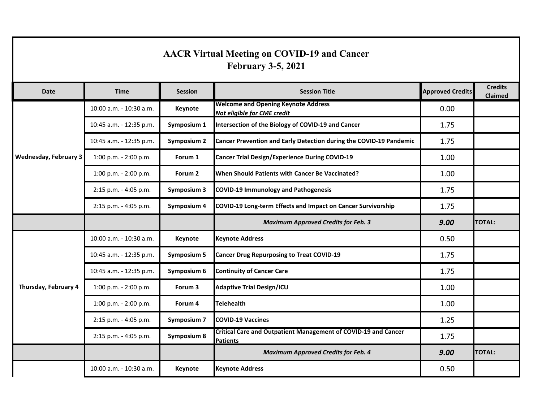| <b>AACR Virtual Meeting on COVID-19 and Cancer</b><br><b>February 3-5, 2021</b> |                           |                    |                                                                                   |                         |                                  |  |  |  |  |
|---------------------------------------------------------------------------------|---------------------------|--------------------|-----------------------------------------------------------------------------------|-------------------------|----------------------------------|--|--|--|--|
| <b>Date</b>                                                                     | <b>Time</b>               | <b>Session</b>     | <b>Session Title</b>                                                              | <b>Approved Credits</b> | <b>Credits</b><br><b>Claimed</b> |  |  |  |  |
| <b>Wednesday, February 3</b>                                                    | 10:00 a.m. - 10:30 a.m.   | Keynote            | <b>Welcome and Opening Keynote Address</b><br>Not eligible for CME credit         | 0.00                    |                                  |  |  |  |  |
|                                                                                 | 10:45 a.m. - 12:35 p.m.   | Symposium 1        | Intersection of the Biology of COVID-19 and Cancer                                | 1.75                    |                                  |  |  |  |  |
|                                                                                 | 10:45 a.m. - 12:35 p.m.   | <b>Symposium 2</b> | Cancer Prevention and Early Detection during the COVID-19 Pandemic                | 1.75                    |                                  |  |  |  |  |
|                                                                                 | 1:00 p.m. - 2:00 p.m.     | Forum 1            | <b>Cancer Trial Design/Experience During COVID-19</b>                             | 1.00                    |                                  |  |  |  |  |
|                                                                                 | 1:00 p.m. - 2:00 p.m.     | Forum 2            | When Should Patients with Cancer Be Vaccinated?                                   | 1.00                    |                                  |  |  |  |  |
|                                                                                 | 2:15 p.m. - 4:05 p.m.     | Symposium 3        | <b>COVID-19 Immunology and Pathogenesis</b>                                       | 1.75                    |                                  |  |  |  |  |
|                                                                                 | 2:15 p.m. - 4:05 p.m.     | Symposium 4        | COVID-19 Long-term Effects and Impact on Cancer Survivorship                      | 1.75                    |                                  |  |  |  |  |
|                                                                                 |                           |                    | <b>Maximum Approved Credits for Feb. 3</b>                                        | 9.00                    | <b>TOTAL:</b>                    |  |  |  |  |
| Thursday, February 4                                                            | 10:00 a.m. - 10:30 a.m.   | Keynote            | <b>Keynote Address</b>                                                            | 0.50                    |                                  |  |  |  |  |
|                                                                                 | 10:45 a.m. - 12:35 p.m.   | <b>Symposium 5</b> | <b>Cancer Drug Repurposing to Treat COVID-19</b>                                  | 1.75                    |                                  |  |  |  |  |
|                                                                                 | 10:45 a.m. - 12:35 p.m.   | Symposium 6        | <b>Continuity of Cancer Care</b>                                                  | 1.75                    |                                  |  |  |  |  |
|                                                                                 | 1:00 p.m. - 2:00 p.m.     | Forum 3            | <b>Adaptive Trial Design/ICU</b>                                                  | 1.00                    |                                  |  |  |  |  |
|                                                                                 | $1:00$ p.m. - $2:00$ p.m. | Forum 4            | <b>Telehealth</b>                                                                 | 1.00                    |                                  |  |  |  |  |
|                                                                                 | 2:15 p.m. - 4:05 p.m.     | Symposium 7        | <b>COVID-19 Vaccines</b>                                                          | 1.25                    |                                  |  |  |  |  |
|                                                                                 | 2:15 p.m. - 4:05 p.m.     | Symposium 8        | Critical Care and Outpatient Management of COVID-19 and Cancer<br><b>Patients</b> | 1.75                    |                                  |  |  |  |  |
|                                                                                 |                           |                    | <b>Maximum Approved Credits for Feb. 4</b>                                        | 9.00                    | <b>TOTAL:</b>                    |  |  |  |  |
|                                                                                 | 10:00 a.m. - 10:30 a.m.   | <b>Keynote</b>     | <b>Keynote Address</b>                                                            | 0.50                    |                                  |  |  |  |  |